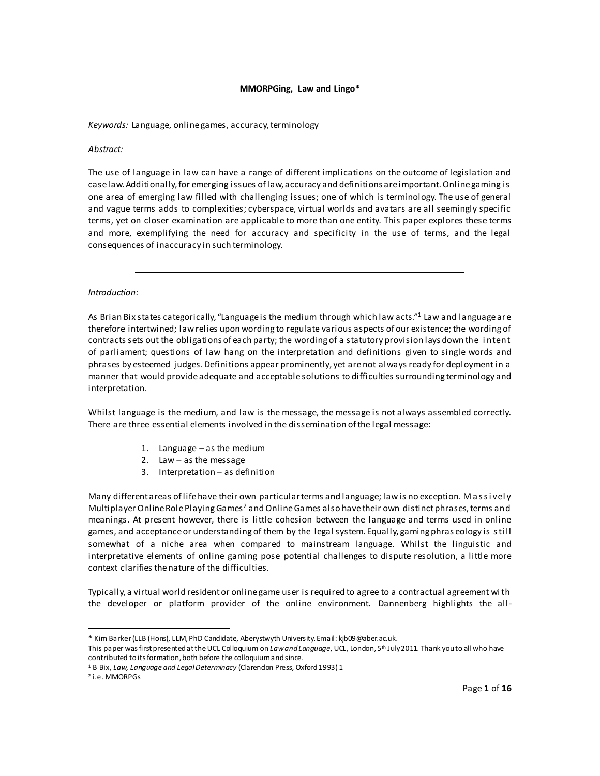### **MMORPGing, Law and Lingo\***

*Keywords:* Language, online games, accuracy, terminology

*Abstract:*

The use of language in law can have a range of different implications on the outcome of legislation and case law. Additionally, for emerging issues of law, accuracy and definitions are important. Online gaming i s one area of emerging law filled with challenging issues; one of which is terminology. The use of general and vague terms adds to complexities; cyberspace, virtual worlds and avatars are all seemingly specific terms, yet on closer examination are applicable to more than one entity. This paper explores these terms and more, exemplifying the need for accuracy and specificity in the use of terms, and the legal consequences of inaccuracy in such terminology.

#### *Introduction:*

As Brian Bix states categorically, "Language is the medium through which law acts."<sup>1</sup> Law and language are therefore intertwined; law relies upon wording to regulate various aspects of our existence; the wording of contracts sets out the obligations of each party; the wording of a statutory provision lays down the i ntent of parliament; questions of law hang on the interpretation and definitions given to single words and phrases by esteemed judges. Definitions appear prominently, yet are not always ready for deployment in a manner that would provide adequate and acceptable solutions to difficulties surrounding terminology and interpretation.

Whilst language is the medium, and law is the message, the message is not always assembled correctly. There are three essential elements involved in the dissemination of the legal message:

- 1. Language as the medium
- 2. Law as the message
- 3. Interpretation as definition

Many different areas of life have their own particular terms and language; law is no exception. M a s s i vel y Multiplayer Online Role Playing Games<sup>2</sup> and Online Games also have their own distinct phrases, terms and meanings. At present however, there is little cohesion between the language and terms used in online games, and acceptance or understanding of them by the legal system. Equally, gaming phras eology is s ti ll somewhat of a niche area when compared to mainstream language. Whilst the linguistic and interpretative elements of online gaming pose potential challenges to dispute resolution, a little more context clarifies the nature of the difficulties.

Typically, a virtual world resident or online game user is required to agree to a contractual agreement wi th the developer or platform provider of the online environment. Dannenberg highlights the all-

2 i.e. MMORPGs

<sup>\*</sup> Kim Barker (LLB (Hons), LLM, PhD Candidate, Aberystwyth University. Email: kjb09@aber.ac.uk.

This paper was first presented at the UCL Colloquium on *Law and Language*, UCL, London, 5th July 2011. Thank you to all who have contributed to its formation, both before the colloquium and since.

<sup>1</sup> B Bix, *Law, Language and Legal Determinacy* (Clarendon Press, Oxford 1993) 1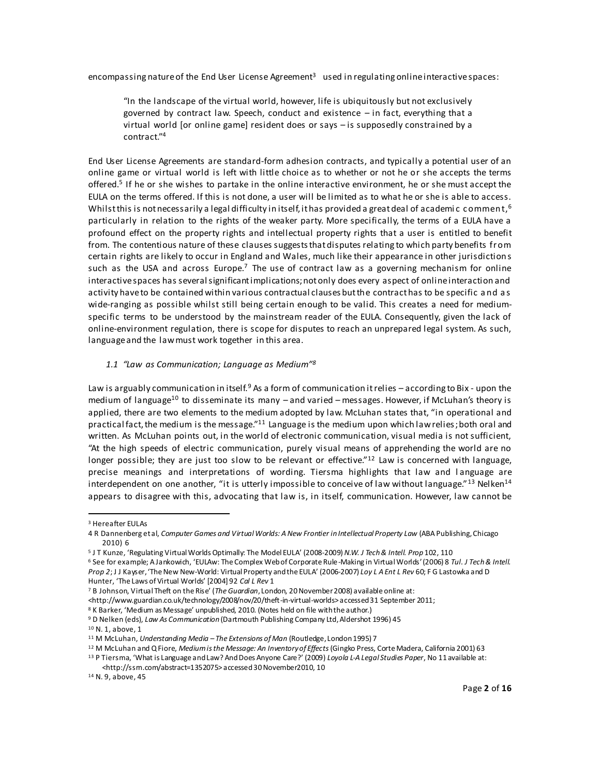encompassing nature of the End User License Agreement<sup>3</sup> used in regulating online interactive spaces:

"In the landscape of the virtual world, however, life is ubiquitously but not exclusively governed by contract law. Speech, conduct and existence – in fact, everything that a virtual world [or online game] resident does or says – is supposedly constrained by a contract."<sup>4</sup>

End User License Agreements are standard-form adhesion contracts, and typically a potential user of an online game or virtual world is left with little choice as to whether or not he or she accepts the terms offered.<sup>5</sup> If he or she wishes to partake in the online interactive environment, he or she must accept the EULA on the terms offered. If this is not done, a user will be limited as to what he or she is able to access. Whilst this is not necessarily a legal difficulty in itself, it has provided a great deal of academic comment,  $6$ particularly in relation to the rights of the weaker party. More specifically, the terms of a EULA have a profound effect on the property rights and intellectual property rights that a user is entitled to benefit from. The contentious nature of these clauses suggests that disputes relating to which party benefits from certain rights are likely to occur in England and Wales, much like their appearance in other jurisdiction s such as the USA and across Europe.<sup>7</sup> The use of contract law as a governing mechanism for online interactive spaces has several significant implications; not only does every aspect of online interaction and activity have to be contained within various contractual clauses but the contract has to be specific a nd a s wide-ranging as possible whilst still being certain enough to be valid. This creates a need for mediumspecific terms to be understood by the mainstream reader of the EULA. Consequently, given the lack of online-environment regulation, there is scope for disputes to reach an unprepared legal system. As such, language and the law must work together in this area.

### *1.1 "Law as Communication; Language as Medium"<sup>8</sup>*

Law is arguably communication in itself.<sup>9</sup> As a form of communication it relies – according to Bix - upon the medium of language<sup>10</sup> to disseminate its many - and varied - messages. However, if McLuhan's theory is applied, there are two elements to the medium adopted by law. McLuhan states that, "in operational and practical fact, the medium is the message."<sup>11</sup> Language is the medium upon which law relies; both oral and written. As McLuhan points out, in the world of electronic communication, visual media is not sufficient, "At the high speeds of electric communication, purely visual means of apprehending the world are no longer possible; they are just too slow to be relevant or effective."<sup>12</sup> Law is concerned with language, precise meanings and interpretations of wording. Tiersma highlights that law and l anguage are interdependent on one another, "it is utterly impossible to conceive of law without language."<sup>13</sup> Nelken<sup>14</sup> appears to disagree with this, advocating that law is, in itself, communication. However, law cannot be

 $\overline{a}$ 

<sup>14</sup> N. 9, above, 45

<sup>3</sup> Hereafter EULAs

<sup>4</sup> R Dannenberg et al, *Computer Games and Virtual Worlds: A New Frontier in Intellectual Property Law* (ABA Publishing, Chicago 2010) 6

<sup>5</sup> J T Kunze, 'Regulating Virtual Worlds Optimally: The Model EULA' (2008-2009) *N.W. J Tech & Intell. Prop* 102, 110

<sup>6</sup> See for example; A Jankowich, 'EULAw: The Complex Web of Corporate Rule-Making in Virtual Worlds' (2006) 8 *Tul. J Tech & Intell. Prop 2*; J J Kayser, 'The New New-World: Virtual Property and the EULA' (2006-2007) *Loy L A Ent L Rev* 60; F G Lastowka and D Hunter, 'The Laws of Virtual Worlds' [2004] 92 *Cal L Rev* 1

<sup>7</sup> B Johnson, Virtual Theft on the Rise' (*The Guardian*, London, 20 November 2008) available online at:

<sup>&</sup>lt;http://www.guardian.co.uk/technology/2008/nov/20/theft-in-virtual-worlds> accessed 31 September 2011;

<sup>&</sup>lt;sup>8</sup> K Barker, 'Medium as Message' unpublished, 2010. (Notes held on file with the author.)

<sup>9</sup> D Nelken (eds), *Law As Communication* (Dartmouth Publishing Company Ltd, Aldershot 1996) 45

<sup>10</sup> N. 1, above, 1

<sup>11</sup> M McLuhan, *Understanding Media – The Extensions of Man* (Routledge, London 1995) 7

<sup>12</sup> M McLuhan and Q Fiore, *Medium is the Message: An Inventory of Effects*(Gingko Press, Corte Madera, California 2001) 63

<sup>13</sup> P Tiersma, 'What is Language and Law? And Does Anyone Care?' (2009) *Loyola L-A Legal Studies Paper*, No 11 available at: <http://ssrn.com/abstract=1352075> accessed 30 November2010, 10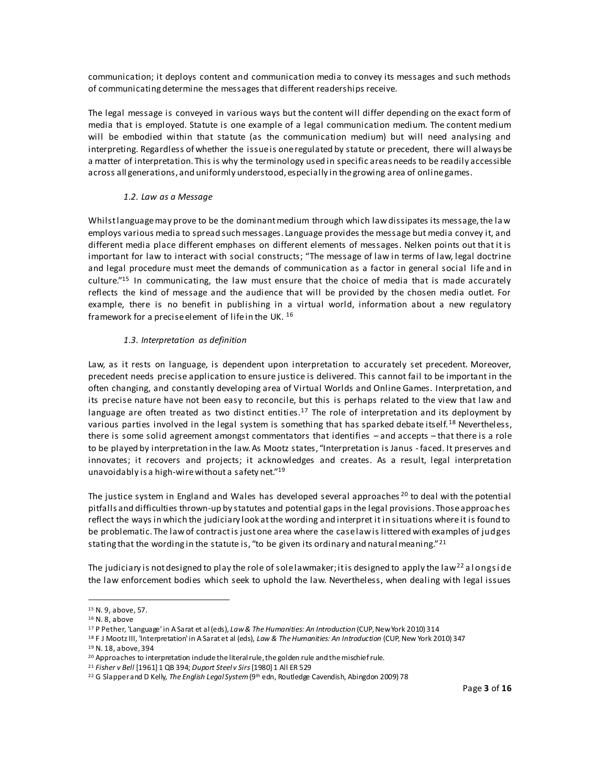communication; it deploys content and communication media to convey its messages and such methods of communicating determine the messages that different readerships receive.

The legal message is conveyed in various ways but the content will differ depending on the exact form of media that is employed. Statute is one example of a legal communication medium. The content medium will be embodied within that statute (as the communication medium) but will need analysing and interpreting. Regardless of whether the issue is one regulated by statute or precedent, there will always be a matter of interpretation. This is why the terminology used in specific areas needs to be readily accessible across all generations, and uniformly understood, especially in the growing area of online games.

## *1.2. Law as a Message*

Whilst language may prove to be the dominant medium through which law dissipates its message, the la w employs various media to spread such messages. Language provides the message but media convey it, and different media place different emphases on different elements of messages. Nelken points out that it is important for law to interact with social constructs; "The message of law in terms of law, legal doctrine and legal procedure must meet the demands of communication as a factor in general social life and in culture."<sup>15</sup> In communicating, the law must ensure that the choice of media that is made accurately reflects the kind of message and the audience that will be provided by the chosen media outlet. For example, there is no benefit in publishing in a virtual world, information about a new regulatory framework for a precise element of life in the UK.  $16$ 

### *1.3. Interpretation as definition*

Law, as it rests on language, is dependent upon interpretation to accurately set precedent. Moreover, precedent needs precise application to ensure justice is delivered. This cannot fail to be important in the often changing, and constantly developing area of Virtual Worlds and Online Games. Interpretation, and its precise nature have not been easy to reconcile, but this is perhaps related to the view that law and language are often treated as two distinct entities.<sup>17</sup> The role of interpretation and its deployment by various parties involved in the legal system is something that has sparked debate itself.<sup>18</sup> Nevertheless, there is some solid agreement amongst commentators that identifies – and accepts – that there is a role to be played by interpretation in the law. As Mootz states, "Interpretation is Janus - faced. It preserves and innovates; it recovers and projects; it acknowledges and creates. As a result, legal interpretation unavoidably is a high-wire without a safety net."<sup>19</sup>

The justice system in England and Wales has developed several approaches  $^{20}$  to deal with the potential pitfalls and difficulties thrown-up by statutes and potential gaps in the legal provisions. Those approac hes reflect the ways in which the judiciary look at the wording and interpret it in situations where it is found to be problematic. The law of contract is just one area where the case law is littered with examples of judges stating that the wording in the statute is, "to be given its ordinary and natural meaning." $^{21}$ 

The judiciary is not designed to play the role of sole lawmaker; it is designed to apply the law<sup>22</sup> alongs ide the law enforcement bodies which seek to uphold the law. Nevertheless, when dealing with legal issues

<sup>15</sup> N. 9, above, 57.

<sup>16</sup> N. 8, above

<sup>17</sup> P Pether, 'Language' in A Sarat et al (eds), *Law & The Humanities: An Introduction* (CUP, New York 2010) 314

<sup>18</sup> F J Mootz III, 'Interpretation' in A Sarat et al (eds), *Law & The Humanities: An Introduction* (CUP, New York 2010) 347

<sup>19</sup> N. 18, above, 394

<sup>&</sup>lt;sup>20</sup> Approaches to interpretation include the literal rule, the golden rule and the mischief rule.

<sup>21</sup> *Fisher v Bell* [1961] 1 QB 394; *Duport Steel v Sirs*[1980] 1 All ER 529

<sup>&</sup>lt;sup>22</sup> G Slapper and D Kelly, *The English Legal System* (9<sup>th</sup> edn, Routledge Cavendish, Abingdon 2009) 78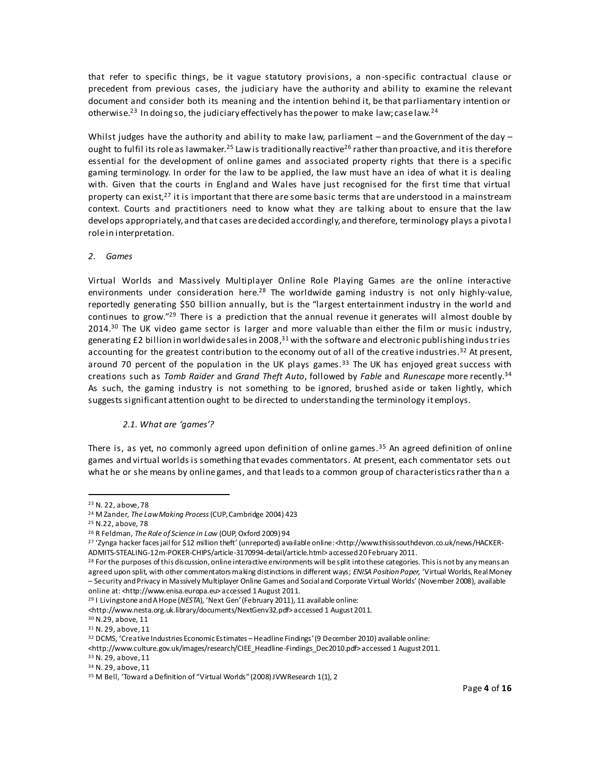that refer to specific things, be it vague statutory provisions, a non-specific contractual clause or precedent from previous cases, the judiciary have the authority and ability to examine the relevant document and consider both its meaning and the intention behind it, be that parliamentary intention or otherwise.<sup>23</sup> In doing so, the judiciary effectively has the power to make law; case law.<sup>24</sup>

Whilst judges have the authority and ability to make law, parliament  $-$  and the Government of the day  $$ ought to fulfil its role as lawmaker.<sup>25</sup> Law is traditionally reactive<sup>26</sup> rather than proactive, and it is therefore essential for the development of online games and associated property rights that there is a specific gaming terminology. In order for the law to be applied, the law must have an idea of what it is dealing with. Given that the courts in England and Wales have just recognised for the first time that virtual property can exist,<sup>27</sup> it is important that there are some basic terms that are understood in a mainstream context. Courts and practitioners need to know what they are talking about to ensure that the law develops appropriately, and that cases are decided accordingly, and therefore, terminology plays a pivota l role in interpretation.

### *2. Games*

Virtual Worlds and Massively Multiplayer Online Role Playing Games are the online interactive environments under consideration here.<sup>28</sup> The worldwide gaming industry is not only highly-value, reportedly generating \$50 billion annually, but is the "largest entertainment industry in the world and continues to grow."<sup>29</sup> There is a prediction that the annual revenue it generates will almost double by  $2014<sup>30</sup>$  The UK video game sector is larger and more valuable than either the film or music industry, generating £2 billion in worldwide sales in 2008, $^{31}$  with the <code>software</code> and <code>electronic</code> publishing indus tries accounting for the greatest contribution to the economy out of all of the creative industries.<sup>32</sup> At present, around 70 percent of the population in the UK plays games.<sup>33</sup> The UK has enjoyed great success with creations such as *Tomb Raider* and *Grand Theft Auto*, followed by *Fable* and *Runescape* more recently.<sup>34</sup> As such, the gaming industry is not something to be ignored, brushed aside or taken lightly, which suggests significant attention ought to be directed to understanding the terminology it employs.

# *2.1. What are 'games'?*

There is, as yet, no commonly agreed upon definition of online games.<sup>35</sup> An agreed definition of online games and virtual worlds is something that evades commentators. At present, each commentator sets out what he or she means by online games, and that leads to a common group of characteristics rather tha n a

<sup>23</sup> N. 22, above, 78

<sup>24</sup> M Zander, *The Law Making Process* (CUP, Cambridge 2004) 423

<sup>25</sup> N.22, above, 78

<sup>26</sup> R Feldman, *The Role of Science in Law* (OUP, Oxford 2009) 94

<sup>27</sup> 'Zynga hacker faces jail for \$12 million theft' (unreported) available online: <http://www.thisissouthdevon.co.uk/news/HACKER-ADMITS-STEALING-12m-POKER-CHIPS/article-3170994-detail/article.html> accessed 20 February 2011.

<sup>&</sup>lt;sup>28</sup> For the purposes of this discussion, online interactive environments will be split into these categories. This is not by any means an agreed upon split, with other commentators making distinctions in different ways; *ENISA Position Paper,* 'Virtual Worlds, Real Money – Security and Privacy in Massively Multiplayer Online Games and Social and Corporate Virtual Worlds' (November 2008), available online at: <http://www.enisa.europa.eu> accessed 1 August 2011.

<sup>29</sup> I Livingstone and A Hope (*NESTA*), 'Next Gen' (February 2011), 11 available online:

<sup>&</sup>lt;http://www.nesta.org.uk.library/documents/NextGenv32.pdf> accessed 1 August 2011.

<sup>30</sup> N.29, above, 11

<sup>31</sup> N. 29, above, 11

<sup>32</sup> DCMS, 'Creative Industries Economic Estimates –Headline Findings' (9 December 2010) available online:

<sup>&</sup>lt;http://www.culture.gov.uk/images/research/CIEE\_Headline-Findings\_Dec2010.pdf> accessed 1 August 2011.

<sup>33</sup> N. 29, above, 11

<sup>34</sup> N. 29, above, 11

<sup>35</sup> M Bell, 'Toward a Definition of "Virtual Worlds" (2008) JVWResearch 1(1), 2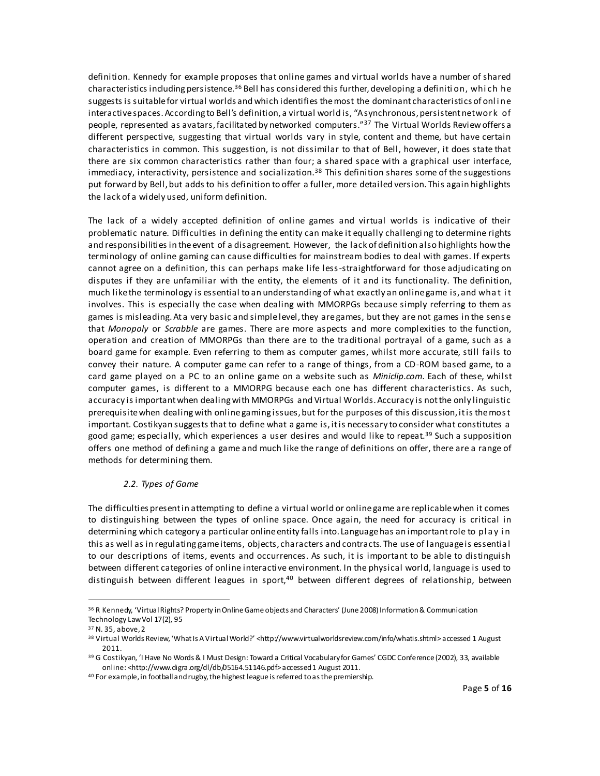definition. Kennedy for example proposes that online games and virtual worlds have a number of shared characteristics including persistence.<sup>36</sup> Bell has considered this further, developing a definition, which he suggests is suitable for virtual worlds and which identifies themost the dominant characteristics of onl i ne interactive spaces. According to Bell's definition, a virtual world is, "A synchronous, persistent network of people, represented as avatars, facilitated by networked computers."37 The Virtual Worlds Review offers a different perspective, suggesting that virtual worlds vary in style, content and theme, but have certain characteristics in common. This suggestion, is not dissimilar to that of Bell, however, it does state that there are six common characteristics rather than four; a shared space with a graphical user interface, immediacy, interactivity, persistence and socialization.<sup>38</sup> This definition shares some of the suggestions put forward by Bell, but adds to his definition to offer a fuller, more detailed version. This again highlights the lack of a widely used, uniform definition.

The lack of a widely accepted definition of online games and virtual worlds is indicative of their problematic nature. Difficulties in defining the entity can make it equally challengi ng to determine rights and responsibilities in the event of a disagreement. However, the lack of definition also highlights how the terminology of online gaming can cause difficulties for mainstream bodies to deal with games. If experts cannot agree on a definition, this can perhaps make life less-straightforward for those adjudicating on disputes if they are unfamiliar with the entity, the elements of it and its functionality. The definition, much like the terminology is essential to an understanding of what exactly an online game is, and what it involves. This is especially the case when dealing with MMORPGs because simply referring to them as games is misleading. At a very basic and simple level, they are games, but they are not games in the sens e that *Monopoly* or *Scrabble* are games. There are more aspects and more complexities to the function, operation and creation of MMORPGs than there are to the traditional portrayal of a game, such as a board game for example. Even referring to them as computer games, whilst more accurate, still fails to convey their nature. A computer game can refer to a range of things, from a CD-ROM based game, to a card game played on a PC to an online game on a website such as *Miniclip.com*. Each of these, whilst computer games, is different to a MMORPG because each one has different characteristics. As such, accuracy is important when dealing with MMORPGs and Virtual Worlds. Accuracy is not the only linguistic prerequisite when dealing with online gaming issues, but for the purposes of this discussion, it is the mos t important. Costikyan suggests that to define what a game is, it is necessary to consider what constitutes a good game; especially, which experiences a user desires and would like to repeat.<sup>39</sup> Such a supposition offers one method of defining a game and much like the range of definitions on offer, there are a range of methods for determining them.

# *2.2. Types of Game*

The difficulties present in attempting to define a virtual world or online game are replicable when it comes to distinguishing between the types of online space. Once again, the need for accuracy is critical in determining which category a particular online entity falls into. Language has an important role to play in this as well as in regulating game items, objects, characters and contracts. The use of language is essentia l to our descriptions of items, events and occurrences. As such, it is important to be able to distinguish between different categories of online interactive environment. In the physical world, language is used to distinguish between different leagues in sport,<sup>40</sup> between different degrees of relationship, between

<sup>&</sup>lt;sup>36</sup> R Kennedy, 'Virtual Rights? Property in Online Game objects and Characters' (June 2008) Information & Communication Technology Law Vol 17(2), 95

<sup>37</sup> N. 35, above, 2

<sup>38</sup> Virtual Worlds Review, 'What Is A Virtual World?' <http://www.virtualworldsreview.com/info/whatis.shtml> accessed 1 August 2011.

<sup>&</sup>lt;sup>39</sup> G Costikyan, 'I Have No Words & I Must Design: Toward a Critical Vocabulary for Games' CGDC Conference (2002), 33, available online: <http://www.digra.org/dl/db/05164.51146.pdf> accessed 1 August 2011.

<sup>40</sup> For example, in football and rugby, the highest league is referred to as the premiership.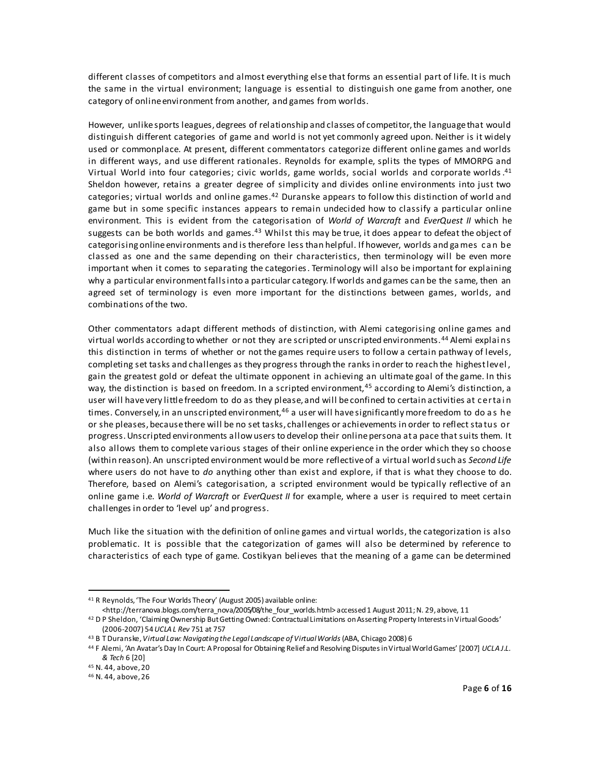different classes of competitors and almost everything else that forms an essential part of life. It is much the same in the virtual environment; language is essential to distinguish one game from another, one category of online environment from another, and games from worlds.

However, unlike sports leagues, degrees of relationship and classes of competitor, the language that would distinguish different categories of game and world is not yet commonly agreed upon. Neither is it widely used or commonplace. At present, different commentators categorize different online games and worlds in different ways, and use different rationales. Reynolds for example, splits the types of MMORPG and Virtual World into four categories; civic worlds, game worlds, social worlds and corporate worlds. 41 Sheldon however, retains a greater degree of simplicity and divides online environments into just two categories; virtual worlds and online games.<sup>42</sup> Duranske appears to follow this distinction of world and game but in some specific instances appears to remain undecided how to classify a particular online environment. This is evident from the categorisation of *World of Warcraft* and *EverQuest II* which he suggests can be both worlds and games.<sup>43</sup> Whilst this may be true, it does appear to defeat the object of categorising online environments and is therefore less than helpful. If however, worlds and ga mes c a n be classed as one and the same depending on their characteristics, then terminology will be even more important when it comes to separating the categories. Terminology will also be important for explaining why a particular environment falls into a particular category. If worlds and games can be the same, then an agreed set of terminology is even more important for the distinctions between games, worlds, and combinations of the two.

Other commentators adapt different methods of distinction, with Alemi categorising online games and virtual worlds according to whether or not they are scripted or unscripted environments.<sup>44</sup> Alemi explains this distinction in terms of whether or not the games require users to follow a certain pathway of levels, completing set tasks and challenges as they progress through the ranks in order to reach the highest level , gain the greatest gold or defeat the ultimate opponent in achieving an ultimate goal of the game. In this way, the distinction is based on freedom. In a scripted environment,<sup>45</sup> according to Alemi's distinction, a user will have very little freedom to do as they please, and will be confined to certain activities at certain times. Conversely, in an unscripted environment,<sup>46</sup> a user will have significantly more freedom to do as he or she pleases, because there will be no set tasks, challenges or achievements in order to reflect sta tus or progress. Unscripted environments allow users to develop their online persona at a pace that suits them. It also allows them to complete various stages of their online experience in the order which they so choose (within reason). An unscripted environment would be more reflective of a virtual world such as *Second Life* where users do not have to *do* anything other than exist and explore, if that is what they choose to do. Therefore, based on Alemi's categorisation, a scripted environment would be typically reflective of an online game i.e. *World of Warcraft* or *EverQuest II* for example, where a user is required to meet certain challenges in order to 'level up' and progress.

Much like the situation with the definition of online games and virtual worlds, the categorization is also problematic. It is possible that the categorization of games will also be determined by reference to characteristics of each type of game. Costikyan believes that the meaning of a game can be determined

<sup>41</sup> R Reynolds, 'The Four Worlds Theory' (August 2005) available online:

<sup>&</sup>lt;http://terranova.blogs.com/terra\_nova/2005/08/the\_four\_worlds.html> accessed 1 August 2011; N. 29, above, 11

<sup>42</sup> D P Sheldon, 'Claiming Ownership But Getting Owned: Contractual Limitations on Asserting Property Interests in Virtual Goods' (2006-2007) 54 *UCLA L Rev* 751 at 757

<sup>43</sup> B T Duranske, *Virtual Law: Navigating the Legal Landscape of Virtual Worlds* (ABA, Chicago 2008) 6

<sup>44</sup> F Alemi, 'An Avatar's Day In Court: A Proposal for Obtaining Relief and Resolving Disputes in Virtual World Games' [2007] *UCLA J.L. & Tech* 6 [20]

<sup>45</sup> N. 44, above, 20

<sup>46</sup> N. 44, above, 26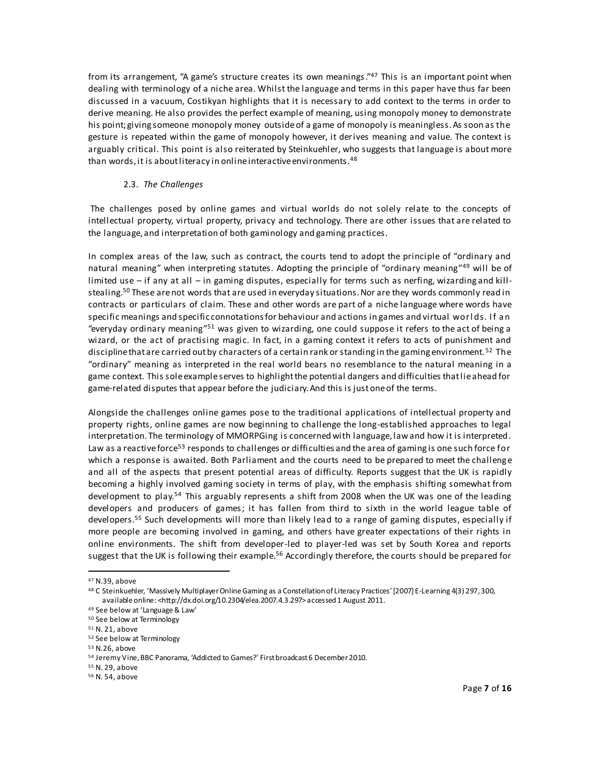from its arrangement, "A game's structure creates its own meanings."<sup>47</sup> This is an important point when dealing with terminology of a niche area. Whilst the language and terms in this paper have thus far been discussed in a vacuum, Costikyan highlights that it is necessary to add context to the terms in order to derive meaning. He also provides the perfect example of meaning, using monopoly money to demonstrate his point; giving someone monopoly money outside of a game of monopoly is meaningless. As soon as the gesture is repeated within the game of monopoly however, it derives meaning and value. The context is arguably critical. This point is also reiterated by Steinkuehler, who suggests that language is about more than words, it is about literacy in online interactive environments.<sup>48</sup>

### 2.3. *The Challenges*

The challenges posed by online games and virtual worlds do not solely relate to the concepts of intellectual property, virtual property, privacy and technology. There are other issues that are related to the language, and interpretation of both gaminology and gaming practices.

In complex areas of the law, such as contract, the courts tend to adopt the principle of "ordinary and natural meaning" when interpreting statutes. Adopting the principle of "ordinary meaning"<sup>49</sup> will be of limited use – if any at all – in gaming disputes, especially for terms such as nerfing, wizarding and killstealing.<sup>50</sup> These are not words that are used in everyday situations. Nor are they words commonly read in contracts or particulars of claim. These and other words are part of a niche language where words have specific meanings and specific connotations for behaviour and actions in games and virtual worlds. If an "everyday ordinary meaning"<sup>51</sup> was given to wizarding, one could suppose it refers to the act of being a wizard, or the act of practising magic. In fact, in a gaming context it refers to acts of punishment and discipline that are carried out by characters of a certain rank or standing in the gaming environment.<sup>52</sup> The "ordinary" meaning as interpreted in the real world bears no resemblance to the natural meaning in a game context. This sole example serves to highlight the potential dangers and difficulties that lie ahead for game-related disputes that appear before the judiciary. And this is just one of the terms.

Alongside the challenges online games pose to the traditional applications of intellectual property and property rights, online games are now beginning to challenge the long-established approaches to legal interpretation. The terminology of MMORPGing is concerned with language, law and how it is interpreted. Law as a reactive force<sup>53</sup> responds to challenges or difficulties and the area of gaming is one such force for which a response is awaited. Both Parliament and the courts need to be prepared to meet the challenge and all of the aspects that present potential areas of difficulty. Reports suggest that the UK is rapidly becoming a highly involved gaming society in terms of play, with the emphasis shifting somewhat from development to play.<sup>54</sup> This arguably represents a shift from 2008 when the UK was one of the leading developers and producers of games; it has fallen from third to sixth in the world league table of developers.<sup>55</sup> Such developments will more than likely lead to a range of gaming disputes, especially if more people are becoming involved in gaming, and others have greater expectations of their rights in online environments. The shift from developer-led to player-led was set by South Korea and reports suggest that the UK is following their example.<sup>56</sup> Accordingly therefore, the courts should be prepared for

<sup>47</sup> N.39, above

<sup>48</sup> C Steinkuehler, 'Massively Multiplayer Online Gaming as a Constellation of Literacy Practices' [2007] E-Learning 4(3) 297, 300, available online: <http://dx.doi.org/10.2304/elea.2007.4.3.297> accessed 1 August 2011.

<sup>49</sup> See below at 'Language & Law'

<sup>50</sup> See below at Terminology

<sup>51</sup> N. 21, above

<sup>52</sup> See below at Terminology

<sup>53</sup> N.26, above

<sup>54</sup> Jeremy Vine, BBC Panorama, 'Addicted to Games?' First broadcast 6 December 2010.

<sup>55</sup> N. 29, above

<sup>56</sup> N. 54, above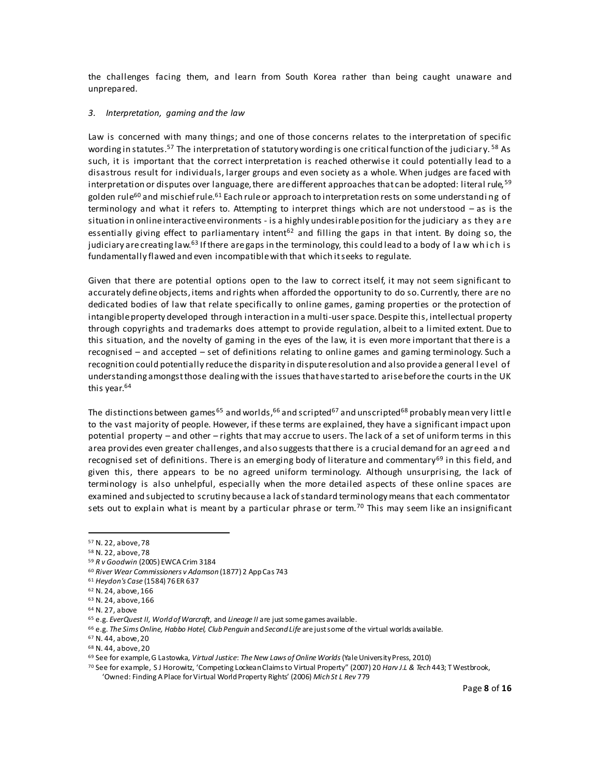the challenges facing them, and learn from South Korea rather than being caught unaware and unprepared.

#### *3. Interpretation, gaming and the law*

Law is concerned with many things; and one of those concerns relates to the interpretation of specific wording in statutes.<sup>57</sup> The interpretation of statutory wording is one critical function of the judiciary.<sup>58</sup> As such, it is important that the correct interpretation is reached otherwise it could potentially lead to a disastrous result for individuals, larger groups and even society as a whole. When judges are faced with interpretation or disputes over language, there are different approaches that can be adopted: literal rule, <sup>59</sup> golden rule<sup>60</sup> and mischief rule.<sup>61</sup> Each rule or approach to interpretation rests on some understanding of terminology and what it refers to. Attempting to interpret things which are not understood – as is the situation in online interactive environments - is a highly undesirable position for the judiciary a s they a re essentially giving effect to parliamentary intent<sup>62</sup> and filling the gaps in that intent. By doing so, the judiciary are creating law.<sup>63</sup> If there are gaps in the terminology, this could lead to a body of law which is fundamentally flawed and even incompatible with that which it seeks to regulate.

Given that there are potential options open to the law to correct itself, it may not seem significant to accurately define objects, items and rights when afforded the opportunity to do so. Currently, there are no dedicated bodies of law that relate specifically to online games, gaming properties or the protection of intangible property developed through interaction in a multi-user space. Despite this, intellectual property through copyrights and trademarks does attempt to provide regulation, albeit to a limited extent. Due to this situation, and the novelty of gaming in the eyes of the law, it is even more important that there is a recognised – and accepted – set of definitions relating to online games and gaming terminology. Such a recognition could potentially reduce the disparity in dispute resolution and also provide a general l evel of understanding amongst those dealing with the issues that have started to arise before the courts in the UK this year.<sup>64</sup>

The distinctions between games <sup>65</sup> and worlds, <sup>66</sup> and scripted <sup>67</sup> and unscripted <sup>68</sup> probably mean very little to the vast majority of people. However, if these terms are explained, they have a significant impact upon potential property – and other – rights that may accrue to users. The lack of a set of uniform terms in this area provides even greater challenges, and also suggests that there is a crucial demand for an agreed a nd recognised set of definitions. There is an emerging body of literature and commentary<sup>69</sup> in this field, and given this, there appears to be no agreed uniform terminology. Although unsurprising, the lack of terminology is also unhelpful, especially when the more detailed aspects of these online spaces are examined and subjected to scrutiny because a lack of standard terminology means that each commentator sets out to explain what is meant by a particular phrase or term.<sup>70</sup> This may seem like an insignificant

<sup>57</sup> N. 22, above, 78

<sup>58</sup> N. 22, above, 78

<sup>59</sup> *R v Goodwin* (2005) EWCA Crim 3184

<sup>60</sup> *River Wear Commissioners v Adamson* (1877) 2 App Cas 743

<sup>61</sup> *Heydon's Case* (1584) 76 ER 637

<sup>62</sup> N. 24, above, 166

<sup>63</sup> N. 24, above, 166

<sup>64</sup> N. 27, above

<sup>65</sup> e.g. *EverQuest II, World of Warcraft,* and *Lineage II* are just some games available.

<sup>66</sup> e.g. *The Sims Online, Habbo Hotel, Club Penguin* and *Second Life* are just some of the virtual worlds available.

<sup>67</sup> N. 44, above, 20

<sup>68</sup> N. 44, above, 20

<sup>69</sup> See for example, G Lastowka, *Virtual Justice*: *The New Laws of Online Worlds* (Yale University Press, 2010)

<sup>70</sup> See for example, S J Horowitz, 'Competing Lockean Claims to Virtual Property" (2007) 20 *Harv J.L & Tech* 443; T Westbrook,

<sup>&#</sup>x27;Owned: Finding A Place for Virtual World Property Rights' (2006) *Mich St L Rev* 779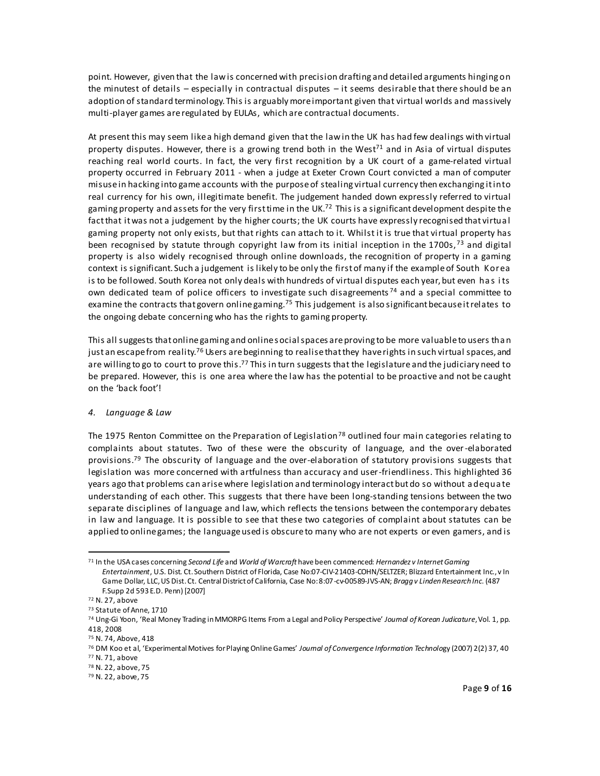point. However, given that the law is concerned with precision drafting and detailed arguments hinging on the minutest of details – especially in contractual disputes – it seems desirable that there should be an adoption of standard terminology. This is arguably more important given that virtual worlds and massively multi-player games are regulated by EULAs, which are contractual documents.

At present this may seem like a high demand given that the law in the UK has had few dealings with virtual property disputes. However, there is a growing trend both in the West<sup>71</sup> and in Asia of virtual disputes reaching real world courts. In fact, the very first recognition by a UK court of a game-related virtual property occurred in February 2011 - when a judge at Exeter Crown Court convicted a man of computer misuse in hacking into game accounts with the purpose of stealing virtual currency then exchanging it into real currency for his own, illegitimate benefit. The judgement handed down expressly referred to virtual gaming property and assets for the very first time in the UK.<sup>72</sup> This is a significant development despite the fact that it was not a judgement by the higher courts; the UK courts have expressly recognised that virtua l gaming property not only exists, but that rights can attach to it. Whilst it is true that virtual property has been recognised by statute through copyright law from its initial inception in the 1700s,<sup>73</sup> and digital property is also widely recognised through online downloads, the recognition of property in a gaming context is significant. Such a judgement is likely to be only the first of many if the example of South Korea is to be followed. South Korea not only deals with hundreds of virtual disputes each year, but even has its own dedicated team of police officers to investigate such disagreements<sup>74</sup> and a special committee to examine the contracts that govern online gaming.<sup>75</sup> This judgement is also significant because it relates to the ongoing debate concerning who has the rights to gaming property.

This all suggests that online gaming and online social spaces are proving to be more valuable to users tha n just an escape from reality.<sup>76</sup> Users are beginning to realise that they have rights in such virtual spaces, and are willing to go to court to prove this.<sup>77</sup> This in turn suggests that the legislature and the judiciary need to be prepared. However, this is one area where the law has the potential to be proactive and not be caught on the 'back foot'!

### *4. Language & Law*

The 1975 Renton Committee on the Preparation of Legislation<sup>78</sup> outlined four main categories relating to complaints about statutes. Two of these were the obscurity of language, and the over-elaborated provisions.<sup>79</sup> The obscurity of language and the over-elaboration of statutory provisions suggests that legislation was more concerned with artfulness than accuracy and user-friendliness. This highlighted 36 years ago that problems can arise where legislation and terminology interact but do so without a dequa te understanding of each other. This suggests that there have been long-standing tensions between the two separate disciplines of language and law, which reflects the tensions between the contemporary debates in law and language. It is possible to see that these two categories of complaint about statutes can be applied to online games; the language used is obscure to many who are not experts or even gamers, and is

<sup>71</sup> In the USA cases concerning *Second Life* and *World of Warcraft* have been commenced: *Hernandez v Internet Gaming Entertainment*, U.S. Dist. Ct. Southern District of Florida, Case No:07-CIV-21403-COHN/SELTZER; Blizzard Entertainment Inc., v In Game Dollar, LLC, US Dist. Ct. Central District of California, Case No: 8:07-cv-00589-JVS-AN; *Bragg v Linden Research Inc*. (487 F.Supp 2d 593 E.D. Penn) [2007]

<sup>72</sup> N. 27, above

<sup>73</sup> Statute of Anne, 1710

<sup>74</sup> Ung-Gi Yoon, 'Real Money Trading in MMORPG Items From a Legal and Policy Perspective' *Journal of Korean Judicature*, Vol. 1, pp. 418, 2008

<sup>75</sup> N. 74, Above, 418

<sup>76</sup> DM Koo et al, 'Experimental Motives for Playing Online Games' *Journal of Convergence Information Technolo*gy (2007) 2(2) 37, 40

<sup>77</sup> N. 71, above

<sup>78</sup> N. 22, above, 75

<sup>79</sup> N. 22, above, 75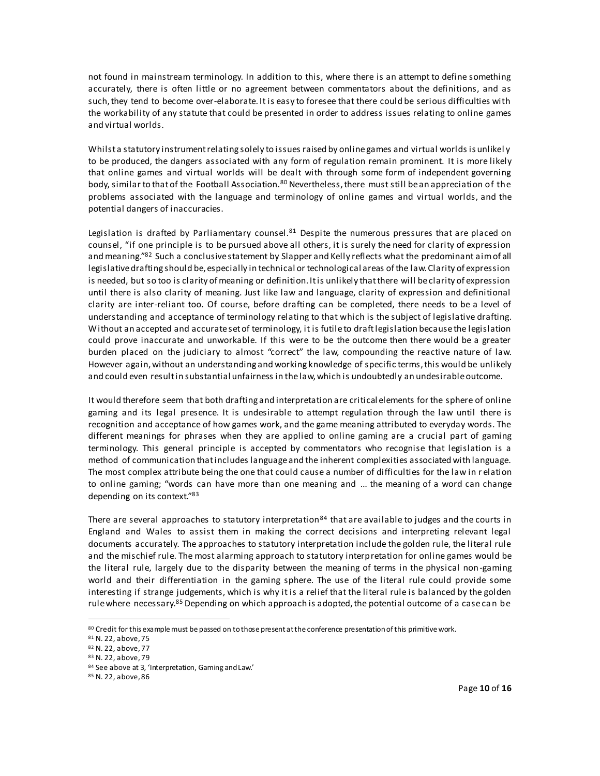not found in mainstream terminology. In addition to this, where there is an attempt to define something accurately, there is often little or no agreement between commentators about the definitions, and as such, they tend to become over-elaborate. It is easy to foresee that there could be serious difficulties with the workability of any statute that could be presented in order to address issues relating to online games and virtual worlds.

Whilst a statutory instrument relating solely to issues raised by online games and virtual worlds is unlikel y to be produced, the dangers associated with any form of regulation remain prominent. It is more likely that online games and virtual worlds will be dealt with through some form of independent governing body, similar to that of the Football Association.<sup>80</sup> Nevertheless, there must still be an appreciation of the problems associated with the language and terminology of online games and virtual worlds, and the potential dangers of inaccuracies.

Legislation is drafted by Parliamentary counsel.<sup>81</sup> Despite the numerous pressures that are placed on counsel, "if one principle is to be pursued above all others, it is surely the need for clarity of expression and meaning."<sup>82</sup> Such a conclusive statement by Slapper and Kelly reflects what the predominant aim of all legislative drafting should be, especially in technical or technological areas of the law. Clarity of expression is needed, but so too is clarity of meaning or definition. It is unlikely that there will be clarity of expression until there is also clarity of meaning. Just like law and language, clarity of expression and definitional clarity are inter-reliant too. Of course, before drafting can be completed, there needs to be a level of understanding and acceptance of terminology relating to that which is the subject of legislative drafting. Without an accepted and accurate set of terminology, it is futile to draft legislation because the legislation could prove inaccurate and unworkable. If this were to be the outcome then there would be a greater burden placed on the judiciary to almost "correct" the law, compounding the reactive nature of law. However again, without an understanding and working knowledge of specific terms, this would be unlikely and could even result in substantial unfairness in the law, which is undoubtedly an undesirable outcome.

It would therefore seem that both drafting and interpretation are critical elements for the sphere of online gaming and its legal presence. It is undesirable to attempt regulation through the law until there is recognition and acceptance of how games work, and the game meaning attributed to everyday words. The different meanings for phrases when they are applied to online gaming are a crucial part of gaming terminology. This general principle is accepted by commentators who recognise that legislation is a method of communication that includes language and the inherent complexities associated with language. The most complex attribute being the one that could cause a number of difficulties for the law in r elation to online gaming; "words can have more than one meaning and ... the meaning of a word can change depending on its context."<sup>83</sup>

There are several approaches to statutory interpretation<sup>84</sup> that are available to judges and the courts in England and Wales to assist them in making the correct decisions and interpreting relevant legal documents accurately. The approaches to statutory interpretation include the golden rule, the literal rule and the mischief rule. The most alarming approach to statutory interpretation for online games would be the literal rule, largely due to the disparity between the meaning of terms in the physical non-gaming world and their differentiation in the gaming sphere. The use of the literal rule could provide some interesting if strange judgements, which is why it is a relief that the literal rule is balanced by the golden rule where necessary.<sup>85</sup> Depending on which approach is adopted, the potential outcome of a case can be

l

<sup>85</sup> N. 22, above, 86

<sup>80</sup> Credit for this example must be passed on to those present at the conference presentation of this primitive work.

<sup>81</sup> N. 22, above, 75

<sup>82</sup> N. 22, above, 77

<sup>83</sup> N. 22, above, 79

<sup>84</sup> See above at 3, 'Interpretation, Gaming and Law.'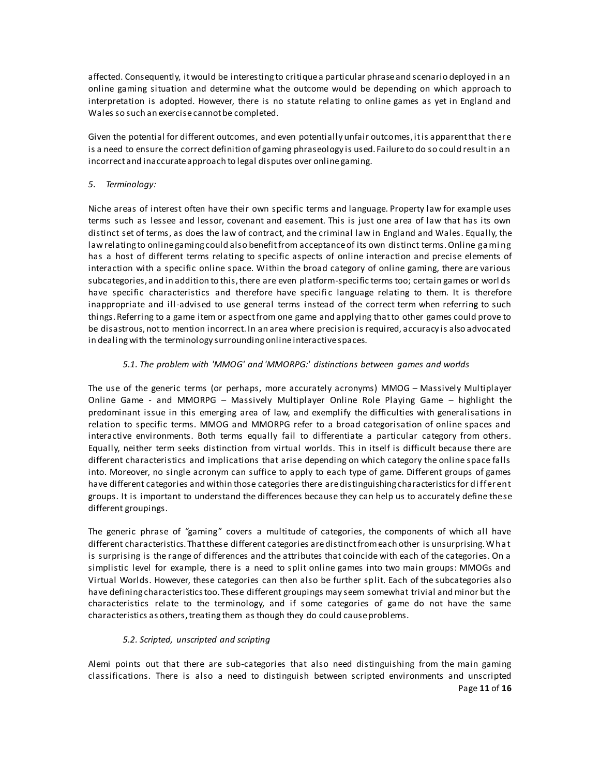affected. Consequently, it would be interesting to critique a particular phrase and scenario deployed in an online gaming situation and determine what the outcome would be depending on which approach to interpretation is adopted. However, there is no statute relating to online games as yet in England and Wales so such an exercise cannot be completed.

Given the potential for different outcomes, and even potentially unfair outcomes, it is apparent that there is a need to ensure the correct definition of gaming phraseology is used. Failure to do so could result in a n incorrect and inaccurate approach to legal disputes over online gaming.

## *5. Terminology:*

Niche areas of interest often have their own specific terms and language. Property law for example uses terms such as lessee and lessor, covenant and easement. This is just one area of law that has its own distinct set of terms, as does the law of contract, and the criminal law in England and Wales. Equally, the law relating to online gaming could also benefit from acceptance of its own distinct terms. Online ga mi ng has a host of different terms relating to specific aspects of online interaction and precise elements of interaction with a specific online space. Within the broad category of online gaming, there are various subcategories, and in addition to this, there are even platform-specific terms too; certain games or worl ds have specific characteristics and therefore have specific language relating to them. It is therefore inappropriate and ill-advised to use general terms instead of the correct term when referring to such things. Referring to a game item or aspect from one game and applying that to other games could prove to be disastrous, not to mention incorrect. In an area where precision is required, accuracy is also advoc ated in dealing with the terminology surrounding online interactive spaces.

# *5.1. The problem with 'MMOG' and 'MMORPG:' distinctions between games and worlds*

The use of the generic terms (or perhaps, more accurately acronyms) MMOG – Massively Multiplayer Online Game - and MMORPG – Massively Multiplayer Online Role Playing Game – highlight the predominant issue in this emerging area of law, and exemplify the difficulties with generalisations in relation to specific terms. MMOG and MMORPG refer to a broad categorisation of online spaces and interactive environments. Both terms equally fail to differentiate a particular category from others. Equally, neither term seeks distinction from virtual worlds. This in itself is difficult because there are different characteristics and implications that arise depending on which category the online space falls into. Moreover, no single acronym can suffice to apply to each type of game. Different groups of games have different categories and within those categories there are distinguishing characteristics for di fferent groups. It is important to understand the differences because they can help us to accurately define these different groupings.

The generic phrase of "gaming" covers a multitude of categories, the components of which all have different characteristics. That these different categories are distinct from each other is unsurprising. Wha t is surprising is the range of differences and the attributes that coincide with each of the categories. On a simplistic level for example, there is a need to split online games into two main groups: MMOGs and Virtual Worlds. However, these categories can then also be further split. Each of the subcategories also have defining characteristics too. These different groupings may seem somewhat trivial and minor but the characteristics relate to the terminology, and if some categories of game do not have the same characteristics as others, treating them as though they do could cause problems.

# *5.2. Scripted, unscripted and scripting*

Page **11** of **16** Alemi points out that there are sub-categories that also need distinguishing from the main gaming classifications. There is also a need to distinguish between scripted environments and unscripted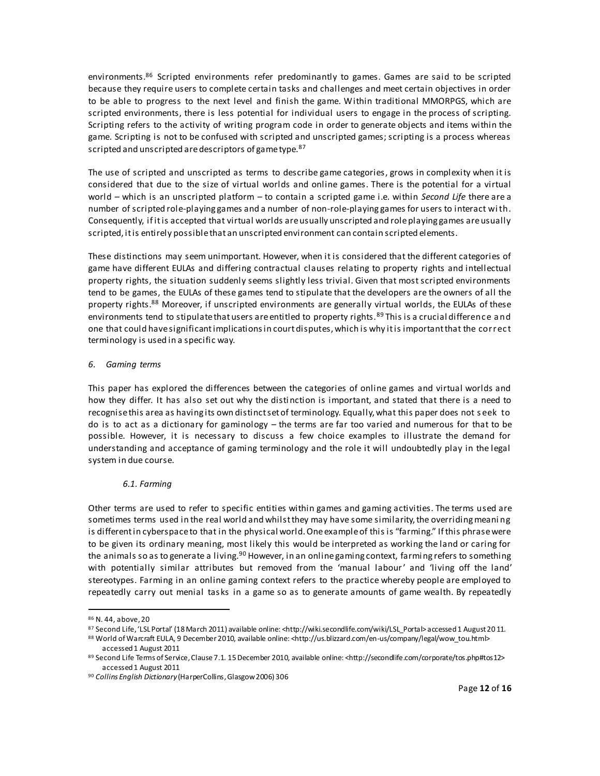environments.<sup>86</sup> Scripted environments refer predominantly to games. Games are said to be scripted because they require users to complete certain tasks and challenges and meet certain objectives in order to be able to progress to the next level and finish the game. Within traditional MMORPGS, which are scripted environments, there is less potential for individual users to engage in the process of scripting. Scripting refers to the activity of writing program code in order to generate objects and items within the game. Scripting is not to be confused with scripted and unscripted games; scripting is a process whereas scripted and unscripted are descriptors of game type.<sup>87</sup>

The use of scripted and unscripted as terms to describe game categories, grows in complexity when it is considered that due to the size of virtual worlds and online games. There is the potential for a virtual world – which is an unscripted platform – to contain a scripted game i.e. within *Second Life* there are a number of scripted role-playing games and a number of non-role-playing games for users to interact wi th. Consequently, if it is accepted that virtual worlds are usually unscripted and role playing games are usually scripted, it is entirely possible that an unscripted environment can contain scripted elements.

These distinctions may seem unimportant. However, when it is considered that the different categories of game have different EULAs and differing contractual clauses relating to property rights and intellectual property rights, the situation suddenly seems slightly less trivial. Given that most scripted environments tend to be games, the EULAs of these games tend to stipulate that the developers are the owners of all the property rights.<sup>88</sup> Moreover, if unscripted environments are generally virtual worlds, the EULAs of these environments tend to stipulate that users are entitled to property rights.<sup>89</sup> This is a crucial difference and one that could have significant implications in court disputes, which is why it is important that the correc t terminology is used in a specific way.

# *6. Gaming terms*

This paper has explored the differences between the categories of online games and virtual worlds and how they differ. It has also set out why the disti nction is important, and stated that there is a need to recognise this area as having its own distinct set of terminology. Equally, what this paper does not s eek to do is to act as a dictionary for gaminology – the terms are far too varied and numerous for that to be possible. However, it is necessary to discuss a few choice examples to illustrate the demand for understanding and acceptance of gaming terminology and the role it will undoubtedly play in the legal system in due course.

# *6.1. Farming*

Other terms are used to refer to specific entities within games and gaming activities. The terms used are sometimes terms used in the real world and whilst they may have some similarity, the overriding meani ng is different in cyberspace to that in the physical world. One example of this is "farming." If this phrase were to be given its ordinary meaning, most likely this would be interpreted as working the land or caring for the animals so as to generate a living.<sup>90</sup> However, in an online gaming context, farming refers to something with potentially similar attributes but removed from the 'manual labour' and 'living off the land' stereotypes. Farming in an online gaming context refers to the practice whereby people are employed to repeatedly carry out menial tasks in a game so as to generate amounts of game wealth. By repeatedly

<sup>86</sup> N. 44, above, 20

<sup>87</sup> Second Life, 'LSL Portal' (18 March 2011) available online: <http://wiki.secondlife.com/wiki/LSL\_Portal> accessed 1 August 20 11. 88 World of Warcraft EULA, 9 December 2010, available online: <http://us.blizzard.com/en-us/company/legal/wow\_tou.html>

accessed 1 August 2011

<sup>89</sup> Second Life Terms of Service, Clause 7.1. 15 December 2010, available online: <http://secondlife.com/corporate/tos.php#tos12> accessed 1 August 2011

<sup>90</sup> *Collins English Dictionary* (HarperCollins, Glasgow 2006) 306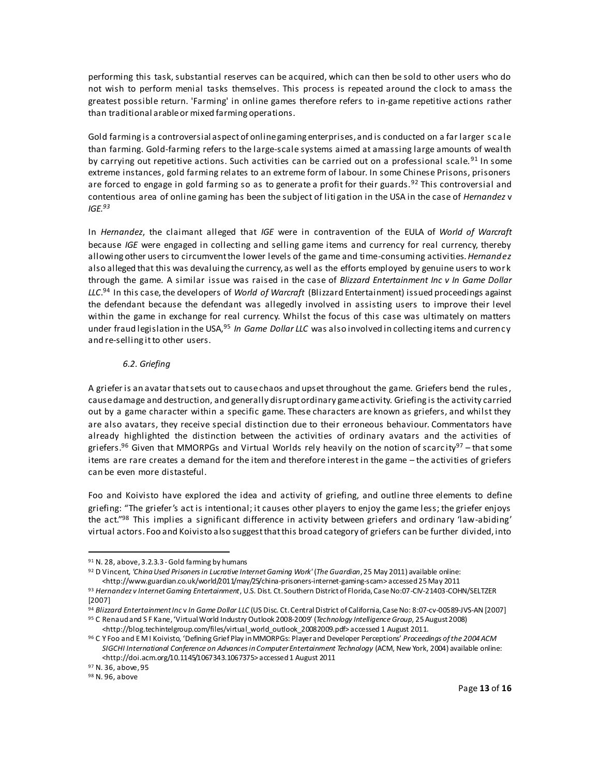performing this task, substantial reserves can be acquired, which can then be sold to other users who do not wish to perform menial tasks themselves. This process is repeated around the clock to amass the greatest possible return. 'Farming' in online games therefore refers to in-game repetitive actions rather than traditional arable or mixed farming operations.

Gold farming is a controversial aspect of online gaming enterprises, and is conducted on a far larger s c a le than farming. Gold-farming refers to the large-scale systems aimed at amassing large amounts of wealth by carrying out repetitive actions. Such activities can be carried out on a professional scale.<sup>91</sup> In some extreme instances, gold farming relates to an extreme form of labour. In some Chinese Prisons, prisoners are forced to engage in gold farming so as to generate a profit for their guards.<sup>92</sup> This controversial and contentious area of online gaming has been the subject of liti gation in the USA in the case of *Hernandez* v *IGE.<sup>93</sup>*

In *Hernandez*, the claimant alleged that *IGE* were in contravention of the EULA of *World of Warcraft* because *IGE* were engaged in collecting and selling game items and currency for real currency, thereby allowing other users to circumvent the lower levels of the game and time-consuming activities. *Hernandez* also alleged that this was devaluing the currency, as well as the efforts employed by genuine users to work through the game. A similar issue was raised in the case of *Blizzard Entertainment Inc v In Game Dollar LLC*. <sup>94</sup> In this case, the developers of *World of Warcraft* (Blizzard Entertainment) issued proceedings against the defendant because the defendant was allegedly involved in assisting users to improve their level within the game in exchange for real currency. Whilst the focus of this case was ultimately on matters under fraud legislation in the USA,<sup>95</sup> *In Game Dollar LLC* was also involved in collecting items and currenc y and re-selling it to other users.

# *6.2. Griefing*

A griefer is an avatar that sets out to cause chaos and upset throughout the game. Griefers bend the rules , cause damage and destruction, and generally disrupt ordinary game activity. Griefing is the activity carried out by a game character within a specific game. These characters are known as griefers, and whilst they are also avatars, they receive special distinction due to their erroneous behaviour. Commentators have already highlighted the distinction between the activities of ordinary avatars and the activities of griefers.<sup>96</sup> Given that MMORPGs and Virtual Worlds rely heavily on the notion of scarcity<sup>97</sup> – that some items are rare creates a demand for the item and therefore interest in the game – the activities of griefers can be even more distasteful.

Foo and Koivisto have explored the idea and activity of griefing, and outline three elements to define griefing: "The griefer's act is intentional; it causes other players to enjoy the game less; the griefer enjoys the act."<sup>98</sup> This implies a significant difference in activity between griefers and ordinary 'law-abiding' virtual actors. Foo and Koivisto also suggest that this broad category of griefers can be further divided, into

<sup>92</sup> D Vincent, *'China Used Prisoners in Lucrative Internet Gaming Work'* (*The Guardian*, 25 May 2011) available online: [<http://www.guardian.co.uk/world/2011/may/25/china-prisoners-internet-gaming-scam](http://www.guardian.co.uk/world/2011/may/25/china-prisoners-internet-gaming-scam)> accessed 25 May 2011

<sup>97</sup> N. 36, above, 95

<sup>&</sup>lt;sup>91</sup> N. 28, above, 3.2.3.3 - Gold farming by humans

<sup>93</sup> *Hernandez v Internet Gaming Entertainment*, U.S. Dist. Ct. Southern District of Florida, Case No:07-CIV-21403-COHN/SELTZER [2007]

<sup>94</sup> *Blizzard Entertainment Inc* v *In Game Dollar LLC* (US Disc. Ct. Central District of California, Case No: 8:07-cv-00589-JVS-AN [2007]

<sup>95</sup> C Renaud and S F Kane, 'Virtual World Industry Outlook 2008-2009' (*Technology Intelligence Group*, 25 August 2008) <http://blog.techintelgroup.com/files/virtual\_world\_outlook\_20082009.pdf> accessed 1 August 2011.

<sup>96</sup> C Y Foo and E M I Koivisto, 'Defining Grief Play in MMORPGs: Player and Developer Perceptions' *Proceedings of the 2004 ACM SIGCHI International Conference on Advances in Computer Entertainment Technology* (ACM, New York, 2004) available online: <http://doi.acm.org/10.1145/1067343.1067375> accessed 1 August 2011

<sup>98</sup> N. 96, above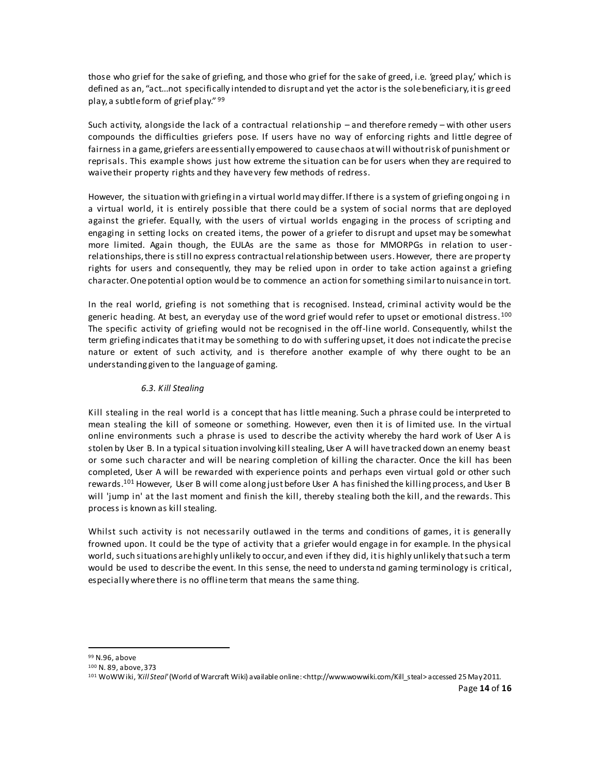those who grief for the sake of griefing, and those who grief for the sake of greed, i.e. 'greed play,' which is defined as an, "act...not specifically intended to disrupt and yet the actor is the sole beneficiary, it is greed play, a subtle form of grief play."  $99$ 

Such activity, alongside the lack of a contractual relationship – and therefore remedy – with other users compounds the difficulties griefers pose. If users have no way of enforcing rights and little degree of fairness in a game, griefers are essentially empowered to cause chaos at will without risk of punishment or reprisals. This example shows just how extreme the situation can be for users when they are required to waive their property rights and they have very few methods of redress.

However, the situation with griefing in a virtual world may differ. If there is a system of griefing ongoing in a virtual world, it is entirely possible that there could be a system of social norms that are deployed against the griefer. Equally, with the users of virtual worlds engaging in the process of scripting and engaging in setting locks on created items, the power of a griefer to disrupt and upset may be somewhat more limited. Again though, the EULAs are the same as those for MMORPGs in relation to userrelationships, there is still no express contractual relationship between users. However, there are property rights for users and consequently, they may be relied upon in order to take action against a griefing character. One potential option would be to commence an action for something similar to nuisance in tort.

In the real world, griefing is not something that is recognised. Instead, criminal activity would be the generic heading. At best, an everyday use of the word grief would refer to upset or emotional distress.<sup>100</sup> The specific activity of griefing would not be recognised in the off-line world. Consequently, whilst the term griefing indicates that it may be something to do with suffering upset, it does not indicate the precise nature or extent of such activity, and is therefore another example of why there ought to be an understanding given to the language of gaming.

# *6.3. Kill Stealing*

Kill stealing in the real world is a concept that has little meaning. Such a phrase could be interpreted to mean stealing the kill of someone or something. However, even then it is of limited use. In the virtual online environments such a phrase is used to describe the activity whereby the hard work of User A is stolen by User B. In a typical situation involving kill stealing, User A will have tracked down an enemy beast or some such character and will be nearing completion of killing the character. Once the kill has been completed, User A will be rewarded with experience points and perhaps even virtual gold or other such rewards.<sup>101</sup> However, User B will come along just before User A has finished the killing process, and User B will 'jump in' at the last moment and finish the kill, thereby stealing both the kill, and the rewards. This process is known as kill stealing.

Whilst such activity is not necessarily outlawed in the terms and conditions of games, it is generally frowned upon. It could be the type of activity that a griefer would engage in for example. In the physical world, such situations are highly unlikely to occur, and even if they did, it is highly unlikely that such a term would be used to describe the event. In this sense, the need to understa nd gaming terminology is critical, especially where there is no offline term that means the same thing.

<sup>99</sup> N.96, above

<sup>100</sup> N. 89, above, 373

<sup>101</sup> WoWWiki, *'Kill Steal'* (World of Warcraft Wiki) available online[: <http://www.wowwiki.com/Kill\\_steal](http://www.wowwiki.com/Kill_steal)> accessed 25 May 2011.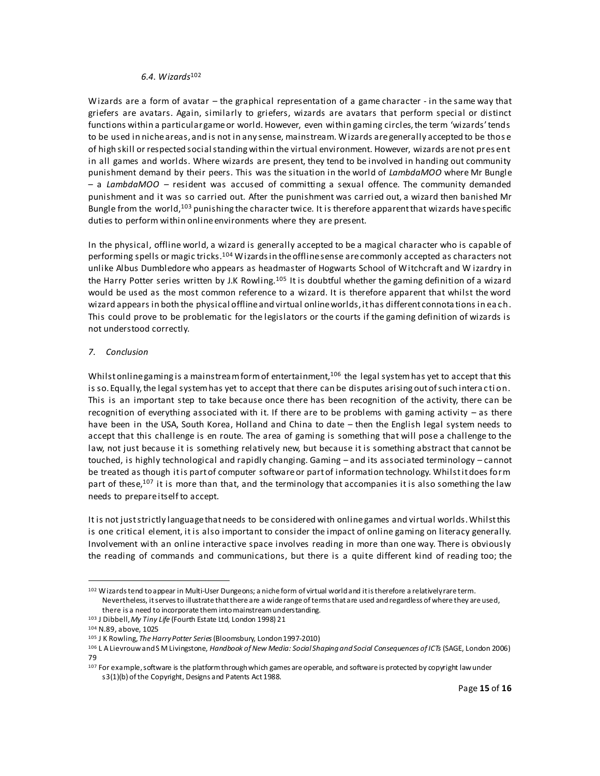#### *6.4. Wizards*<sup>102</sup>

Wizards are a form of avatar – the graphical representation of a game character - in the same way that griefers are avatars. Again, similarly to griefers, wizards are avatars that perform special or distinct functions within a particular game or world. However, even within gaming circles, the term 'wizards' tends to be used in niche areas, and is not in any sense, mainstream. Wizards are generally accepted to be thos e of high skill or respected social standing within the virtual environment. However, wizards are not pres ent in all games and worlds. Where wizards are present, they tend to be involved in handing out community punishment demand by their peers. This was the situation in the world of *LambdaMOO* where Mr Bungle – a *LambdaMOO –* resident was accused of committing a sexual offence. The community demanded punishment and it was so carried out. After the punishment was carried out, a wizard then banished Mr Bungle from the world,<sup>103</sup> punishing the character twice. It is therefore apparent that wizards have specific duties to perform within online environments where they are present.

In the physical, offline world, a wizard is generally accepted to be a magical character who is capable of performing spells or magic tricks.<sup>104</sup> Wizards in the offline sense are commonly accepted as characters not unlike Albus Dumbledore who appears as headmaster of Hogwarts School of Witchcraft and W izardry in the Harry Potter series written by J.K Rowling.<sup>105</sup> It is doubtful whether the gaming definition of a wizard would be used as the most common reference to a wizard. It is therefore apparent that whilst the word wizard appears in both the physical offline and virtual online worlds, it has different connotations in each. This could prove to be problematic for the legislators or the courts if the gaming definition of wizards is not understood correctly.

### *7. Conclusion*

Whilst online gaming is a mainstream form of entertainment, $106$  the legal system has yet to accept that this is so. Equally, the legal system has yet to accept that there can be disputes arising out of such intera c ti on. This is an important step to take because once there has been recognition of the activity, there can be recognition of everything associated with it. If there are to be problems with gaming activity – as there have been in the USA, South Korea, Holland and China to date – then the English legal system needs to accept that this challenge is en route. The area of gaming is something that will pose a challenge to the law, not just because it is something relatively new, but because it is something abstract that cannot be touched, is highly technological and rapidly changing. Gaming – and its associated terminology – cannot be treated as though it is part of computer software or part of information technology. Whilst it does form part of these,<sup>107</sup> it is more than that, and the terminology that accompanies it is also something the law needs to prepare itself to accept.

It is not just strictly language that needs to be considered with online games and virtual worlds. Whilst this is one critical element, it is also important to consider the impact of online gaming on literacy generally. Involvement with an online interactive space involves reading in more than one way. There is obviously the reading of commands and communications, but there is a quite different kind of reading too; the

<sup>102</sup> Wizards tend to appear in Multi-User Dungeons; a niche form of virtual world and it is therefore a relatively rare term. Nevertheless, it serves to illustrate that there are a wide range of terms that are used and regardless of where they are used, there is a need to incorporate them into mainstream understanding.

<sup>103</sup> J Dibbell, *My Tiny Life* (Fourth Estate Ltd, London 1998) 21

<sup>104</sup> N.89, above, 1025

<sup>105</sup> J K Rowling, *The Harry Potter Series*(Bloomsbury, London 1997-2010)

<sup>106</sup> L A Lievrouw and S M Livingstone, *Handbook of New Media: Social Shaping and Social Consequences of ICTs* (SAGE, London 2006) 79

<sup>107</sup> For example, software is the platform through which games are operable, and software is protected by copyright law under s3(1)(b) of the Copyright, Designs and Patents Act 1988.